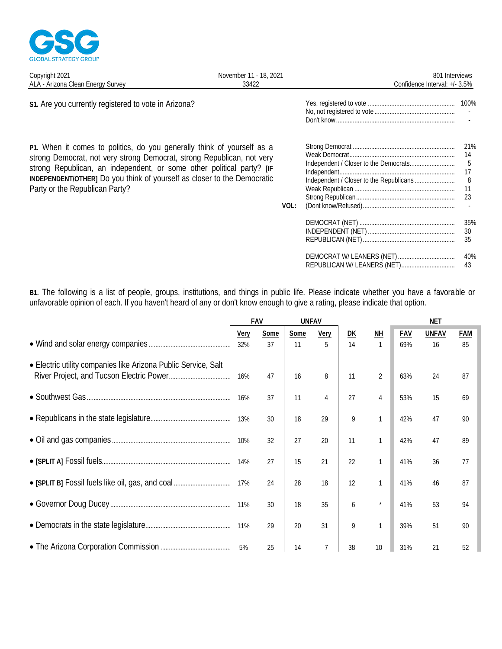

| November 11 - 18, 2021 | 801 Interviews                |
|------------------------|-------------------------------|
| 33422                  | Confidence Interval: +/- 3.5% |
|                        |                               |
|                        |                               |

s1. Are you currently registered to vote in Arizona?

P1. When it comes to politics, do you generally think of yourself as a strong Democrat, not very strong Democrat, strong Republican, not very strong Republican, an independent, or some other political party? [IF INDEPENDENT/OTHER] Do you think of yourself as closer to the Democratic Party or the Republican Party?

|      |                             | 100%                                  |
|------|-----------------------------|---------------------------------------|
| VOL: | Independent.                | 21%<br>14<br>5<br>17<br>8<br>11<br>23 |
|      |                             | 35%<br>30<br>35                       |
|      | REPUBLICAN W/ LEANERS (NET) | 40%<br>43                             |

B1. The following is a list of people, groups, institutions, and things in public life. Please indicate whether you have a favorable or unfavorable opinion of each. If you haven't heard of any or don't know enough to give a rating, please indicate that option.

|                                                                |             | FAV<br><b>UNFAV</b> |            |                  |          |                           | <b>NET</b> |                    |           |
|----------------------------------------------------------------|-------------|---------------------|------------|------------------|----------|---------------------------|------------|--------------------|-----------|
|                                                                | Very<br>32% | Some<br>37          | Some<br>11 | <b>Very</b><br>5 | DK<br>14 | <b>NH</b><br>$\mathbf{1}$ | FAV<br>69% | <b>UNFAV</b><br>16 | FAM<br>85 |
| • Electric utility companies like Arizona Public Service, Salt | 16%         | 47                  | 16         | 8                | 11       | $\overline{2}$            | 63%        | 24                 | 87        |
| • Southwest Gas                                                | 16%         | 37                  | 11         | $\overline{4}$   | 27       | $\overline{4}$            | 53%        | 15                 | 69        |
|                                                                | 13%         | 30                  | 18         | 29               | 9        | $\mathbf{1}$              | 42%        | 47                 | 90        |
|                                                                | 10%         | 32                  | 27         | 20               | 11       |                           | 42%        | 47                 | 89        |
|                                                                | 14%         | 27                  | 15         | 21               | 22       | $\mathbf{1}$              | 41%        | 36                 | 77        |
| • [SPLIT B] Fossil fuels like oil, gas, and coal               | 17%         | 24                  | 28         | 18               | 12       | $\mathbf{1}$              | 41%        | 46                 | 87        |
|                                                                | 11%         | 30                  | 18         | 35               | 6        | $\star$                   | 41%        | 53                 | 94        |
|                                                                | 11%         | 29                  | 20         | 31               | 9        | $\mathbf{1}$              | 39%        | 51                 | 90        |
|                                                                | 5%          | 25                  | 14         | 7                | 38       | 10                        | 31%        | 21                 | 52        |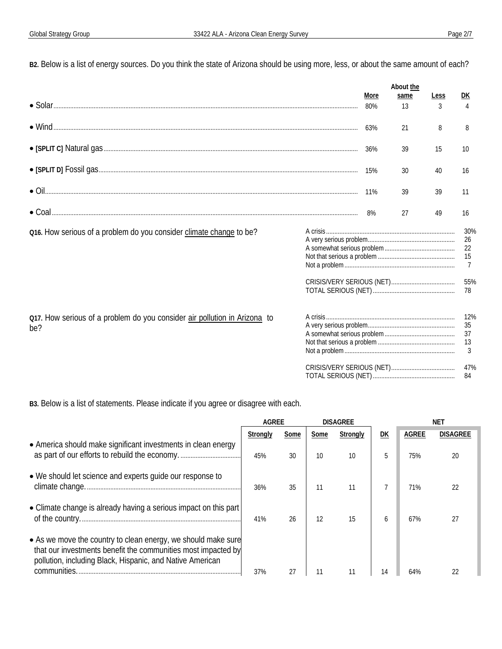B2. Below is a list of energy sources. Do you think the state of Arizona should be using more, less, or about the same amount of each?

|                                                                                  |                     | More<br>80% | About the<br>same<br>13 | Less<br>$\overline{3}$ | DK<br>$\overline{4}$                    |
|----------------------------------------------------------------------------------|---------------------|-------------|-------------------------|------------------------|-----------------------------------------|
|                                                                                  |                     | 63%         | 21                      | 8                      | 8                                       |
|                                                                                  |                     | 36%         | 39                      | 15                     | 10 <sup>1</sup>                         |
|                                                                                  |                     | 15%         | 30                      | 40                     | 16                                      |
|                                                                                  |                     | 11%         | 39                      | 39                     | 11                                      |
|                                                                                  |                     | 8%          | 27                      | 49                     | 16                                      |
| Q16. How serious of a problem do you consider climate change to be?              |                     |             |                         |                        | 30%<br>26<br>22<br>15<br>$\overline{7}$ |
|                                                                                  |                     |             |                         |                        | 55%<br>78                               |
| 017. How serious of a problem do you consider air pollution in Arizona to<br>be? |                     |             |                         |                        | 12%<br>35<br>37<br>13<br>3              |
|                                                                                  | TOTAL SERIOUS (NET) |             |                         |                        | 47%<br>84                               |

B3. Below is a list of statements. Please indicate if you agree or disagree with each.

|                                                                                                                                                                                                             | AGRFF    |      | <b>DISAGREE</b> |          |    | ΝF           |          |
|-------------------------------------------------------------------------------------------------------------------------------------------------------------------------------------------------------------|----------|------|-----------------|----------|----|--------------|----------|
|                                                                                                                                                                                                             | Strongly | Some | Some            | Strongly | DK | <b>AGREE</b> | DISAGREE |
| • America should make significant investments in clean energy                                                                                                                                               | 45%      | 30   | 10              | 10       | 5  | 75%          | 20       |
| • We should let science and experts quide our response to<br>climate change.                                                                                                                                | 36%      | 35   |                 |          |    | 71%          |          |
| • Climate change is already having a serious impact on this part                                                                                                                                            | 41%      | 26   | 12              | 15       | h  | 67%          |          |
| • As we move the country to clean energy, we should make sure<br>that our investments benefit the communities most impacted by<br>pollution, including Black, Hispanic, and Native American<br>communities. | 37%      |      |                 |          |    |              |          |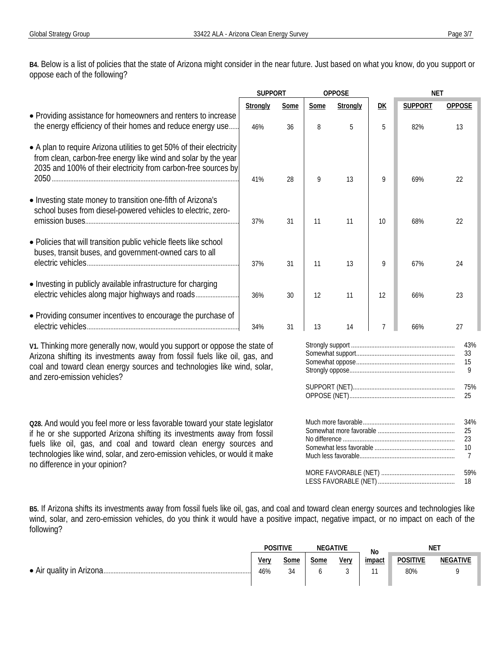**B4.** Below is a list of policies that the state of Arizona might consider in the near future. Just based on what you know, do you support or oppose each of the following?

**B5.** If Arizona shifts its investments away from fossil fuels like oil, gas, and coal and toward clean energy sources and technologies like wind, solar, and zero-emission vehicles, do you think it would have a positive impact, negative impact, or no impact on each of the following?

| POSITIVE    |            | <b>GATIVE</b> |      | No     |                        |    | ΝE |  |  |
|-------------|------------|---------------|------|--------|------------------------|----|----|--|--|
| Very<br>46% | some<br>34 | Some          | Verv | impact | <b>POSITIVE</b><br>80% | ١Ŀ |    |  |  |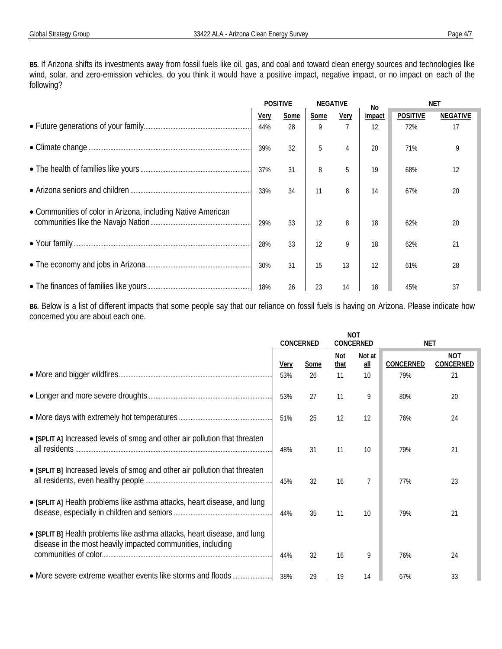**B5.** If Arizona shifts its investments away from fossil fuels like oil, gas, and coal and toward clean energy sources and technologies like wind, solar, and zero-emission vehicles, do you think it would have a positive impact, negative impact, or no impact on each of the following?

|                                                              | <b>POSITIVE</b><br><b>NEGATIVE</b> |      | No.  |      | NF1    |                 |          |
|--------------------------------------------------------------|------------------------------------|------|------|------|--------|-----------------|----------|
|                                                              | Very                               | Some | Some | Very | impact | <b>POSITIVE</b> | NEGATIVE |
|                                                              | 44%                                | 28   | 9    |      | 12     | 72%             |          |
|                                                              | 39%                                | 32   | 5    |      | 20     | 71%             |          |
|                                                              | 37%                                | 31   | 8    | 5    | 19     | 68%             | 12       |
|                                                              | 33%                                | 34   | 11   | 8    | 14     | 67%             | 20       |
| • Communities of color in Arizona, including Native American |                                    |      |      |      |        |                 |          |
|                                                              | 29%                                | 33   | 12   | 8    | 18     | 62%             | 20       |
|                                                              | 28%                                | 33   | 12   | 9    | 18     | 62%             | 21       |
|                                                              | 30%                                | 31   | 15   | 13   | 12     | 61%             | 28       |
|                                                              | 18%                                | 26   | 23   | 14   | 18     | 45%             |          |

**B6.** Below is a list of different impacts that some people say that our reliance on fossil fuels is having on Arizona. Please indicate how concerned you are about each one.

|                                                                                                                                         | <b>NOT</b><br>CONCERNED<br>CONCERNED |      |             | <b>NET</b>      |           |                         |
|-----------------------------------------------------------------------------------------------------------------------------------------|--------------------------------------|------|-------------|-----------------|-----------|-------------------------|
|                                                                                                                                         | Very                                 | Some | Not<br>that | Not at<br>$all$ | CONCERNED | <b>NOT</b><br>CONCERNED |
|                                                                                                                                         | 53%                                  | 26   | 11          | 10              | 79%       | 21                      |
|                                                                                                                                         | 53%                                  | 27   | 11          | 9               | 80%       | 20                      |
|                                                                                                                                         | 51%                                  | 25   | 12          | 12              | 76%       | 24                      |
| • [SPLIT A] Increased levels of smog and other air pollution that threaten<br>all residents.                                            | 48%                                  | 31   | 11          | 10              | 79%       | 21                      |
| • [SPLIT B] Increased levels of smog and other air pollution that threaten                                                              | 45%                                  | 32   | 16          | $\overline{7}$  | 77%       | 23                      |
| • [SPLIT A] Health problems like asthma attacks, heart disease, and lung                                                                | 44%                                  | 35   | 11          | 10              | 79%       | 21                      |
| • [SPLIT B] Health problems like asthma attacks, heart disease, and lung<br>disease in the most heavily impacted communities, including | 44%                                  | 32   | 16          | 9               | 76%       | 24                      |
|                                                                                                                                         | 38%                                  | 29   | 19          | 14              | 67%       | 33                      |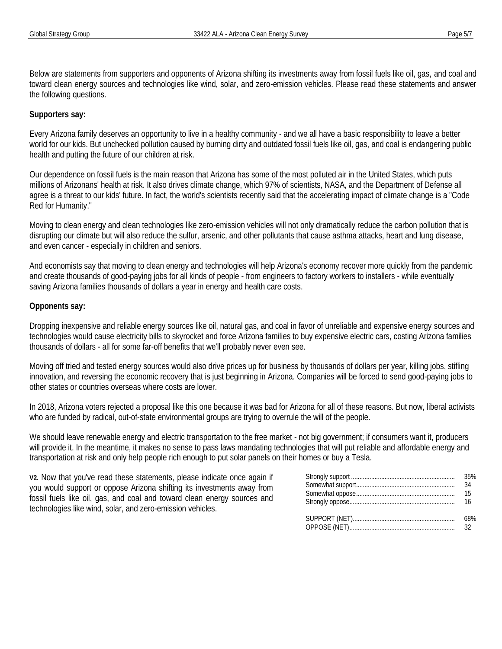Below are statements from supporters and opponents of Arizona shifting its investments away from fossil fuels like oil, gas, and coal and toward clean energy sources and technologies like wind, solar, and zero-emission vehicles. Please read these statements and answer the following questions.

## **Supporters say:**

Every Arizona family deserves an opportunity to live in a healthy community - and we all have a basic responsibility to leave a better world for our kids. But unchecked pollution caused by burning dirty and outdated fossil fuels like oil, gas, and coal is endangering public health and putting the future of our children at risk.

Our dependence on fossil fuels is the main reason that Arizona has some of the most polluted air in the United States, which puts millions of Arizonans' health at risk. It also drives climate change, which 97% of scientists, NASA, and the Department of Defense all agree is a threat to our kids' future. In fact, the world's scientists recently said that the accelerating impact of climate change is a "Code Red for Humanity."

Moving to clean energy and clean technologies like zero-emission vehicles will not only dramatically reduce the carbon pollution that is disrupting our climate but will also reduce the sulfur, arsenic, and other pollutants that cause asthma attacks, heart and lung disease, and even cancer - especially in children and seniors.

And economists say that moving to clean energy and technologies will help Arizona's economy recover more quickly from the pandemic and create thousands of good-paying jobs for all kinds of people - from engineers to factory workers to installers - while eventually saving Arizona families thousands of dollars a year in energy and health care costs.

## **Opponents say:**

Dropping inexpensive and reliable energy sources like oil, natural gas, and coal in favor of unreliable and expensive energy sources and technologies would cause electricity bills to skyrocket and force Arizona families to buy expensive electric cars, costing Arizona families thousands of dollars - all for some far-off benefits that we'll probably never even see.

Moving off tried and tested energy sources would also drive prices up for business by thousands of dollars per year, killing jobs, stifling innovation, and reversing the economic recovery that is just beginning in Arizona. Companies will be forced to send good-paying jobs to other states or countries overseas where costs are lower.

In 2018, Arizona voters rejected a proposal like this one because it was bad for Arizona for all of these reasons. But now, liberal activists who are funded by radical, out-of-state environmental groups are trying to overrule the will of the people.

We should leave renewable energy and electric transportation to the free market - not big government; if consumers want it, producers will provide it. In the meantime, it makes no sense to pass laws mandating technologies that will put reliable and affordable energy and transportation at risk and only help people rich enough to put solar panels on their homes or buy a Tesla.

**V2.** Now that you've read these statements, please indicate once again if you would support or oppose Arizona shifting its investments away from fossil fuels like oil, gas, and coal and toward clean energy sources and technologies like wind, solar, and zero-emission vehicles.

| OPPOSE (NET) |  |
|--------------|--|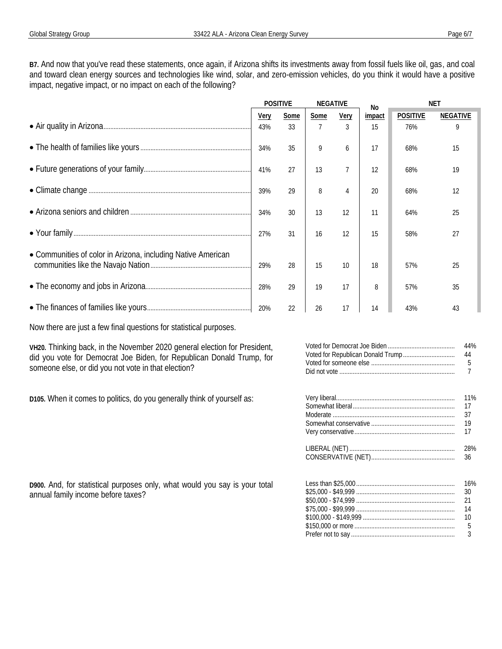B7. And now that you've read these statements, once again, if Arizona shifts its investments away from fossil fuels like oil, gas, and coal and toward clean energy sources and technologies like wind, solar, and zero-emission vehicles, do you think it would have a positive impact, negative impact, or no impact on each of the following?

|                                                              | <b>POSITIVE</b> |      | NEGATIVE    |      | N <sub>0</sub> |                 | <b>NET</b>      |
|--------------------------------------------------------------|-----------------|------|-------------|------|----------------|-----------------|-----------------|
|                                                              | Very            | Some | <b>Some</b> | Very | impact         | <b>POSITIVE</b> | <b>NEGATIVE</b> |
|                                                              | 43%             | 33   |             | 3    | 15             | 76%             | 9               |
|                                                              | 34%             | 35   | 9           | 6    | 17             | 68%             | 15              |
|                                                              | 41%             | 27   | 13          |      | 12             | 68%             | 19              |
|                                                              | 39%             | 29   | 8           | 4    | 20             | 68%             | 12              |
|                                                              | 34%             | 30   | 13          | 12   | 11             | 64%             | 25              |
|                                                              | 27%             | 31   | 16          | 12   | 15             | 58%             | 27              |
| • Communities of color in Arizona, including Native American |                 |      |             |      |                |                 |                 |
|                                                              | 29%             | 28   | 15          | 10   | 18             | 57%             | 25              |
|                                                              | 28%             | 29   | 19          | 17   | 8              | 57%             | 35              |
|                                                              | 20%             | 22   | 26          | 17   | 14             | 43%             |                 |

Now there are just a few final questions for statistical purposes.

VH20. Thinking back, in the November 2020 general election for President, did you vote for Democrat Joe Biden, for Republican Donald Trump, for someone else, or did you not vote in that election?

D105. When it comes to politics, do you generally think of yourself as:

D900. And, for statistical purposes only, what would you say is your total

annual family income before taxes?

| 44% |
|-----|
|     |
|     |
|     |

|                 | 16% |
|-----------------|-----|
|                 | -30 |
| ALO VOU AJ LOUU |     |